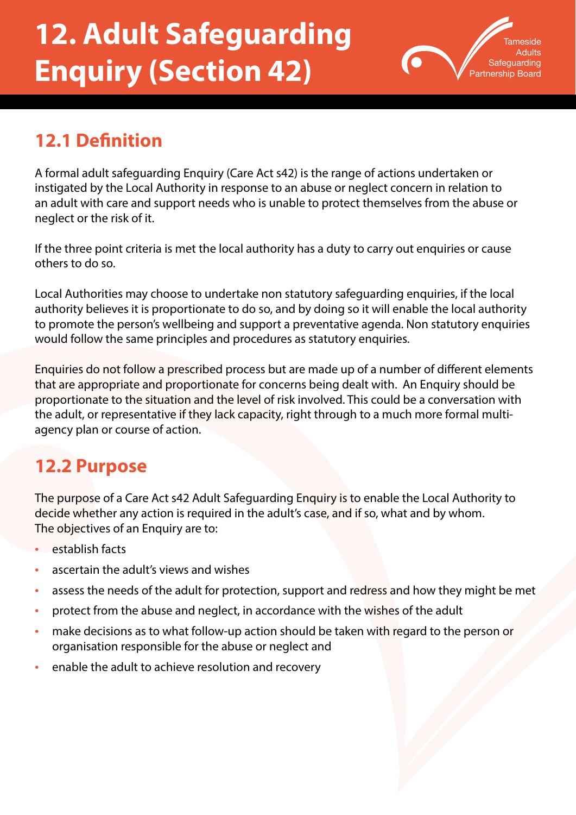# **12. Adult Safeguarding Enquiry (Section 42)**



# **12.1 Definition**

A formal adult safeguarding Enquiry (Care Act s42) is the range of actions undertaken or instigated by the Local Authority in response to an abuse or neglect concern in relation to an adult with care and support needs who is unable to protect themselves from the abuse or neglect or the risk of it.

If the three point criteria is met the local authority has a duty to carry out enquiries or cause others to do so.

Local Authorities may choose to undertake non statutory safeguarding enquiries, if the local authority believes it is proportionate to do so, and by doing so it will enable the local authority to promote the person's wellbeing and support a preventative agenda. Non statutory enquiries would follow the same principles and procedures as statutory enquiries.

Enquiries do not follow a prescribed process but are made up of a number of different elements that are appropriate and proportionate for concerns being dealt with. An Enquiry should be proportionate to the situation and the level of risk involved. This could be a conversation with the adult, or representative if they lack capacity, right through to a much more formal multiagency plan or course of action.

### **12.2 Purpose**

The purpose of a Care Act s42 Adult Safeguarding Enquiry is to enable the Local Authority to decide whether any action is required in the adult's case, and if so, what and by whom. The objectives of an Enquiry are to:

- establish facts
- ascertain the adult's views and wishes
- assess the needs of the adult for protection, support and redress and how they might be met
- protect from the abuse and neglect, in accordance with the wishes of the adult
- make decisions as to what follow-up action should be taken with regard to the person or organisation responsible for the abuse or neglect and
- enable the adult to achieve resolution and recovery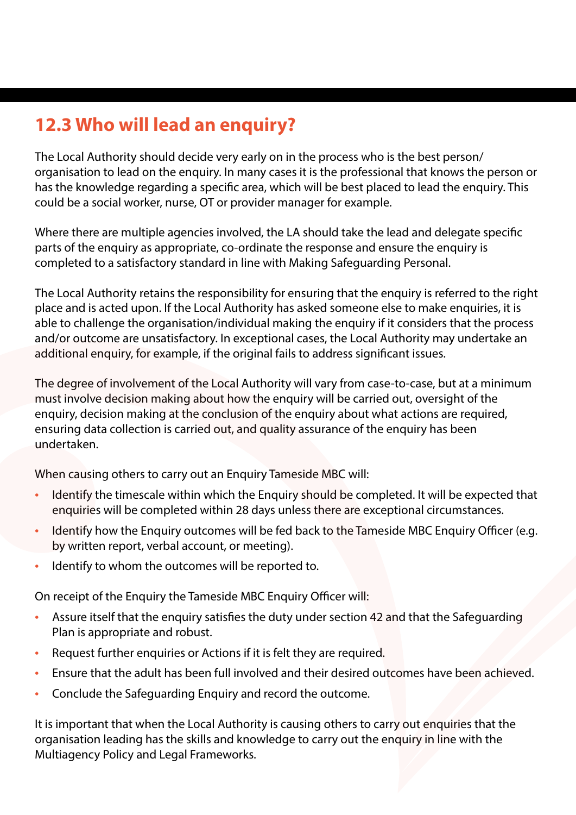# **12.3 Who will lead an enquiry?**

The Local Authority should decide very early on in the process who is the best person/ organisation to lead on the enquiry. In many cases it is the professional that knows the person or has the knowledge regarding a specific area, which will be best placed to lead the enquiry. This could be a social worker, nurse, OT or provider manager for example.

Where there are multiple agencies involved, the LA should take the lead and delegate specific parts of the enquiry as appropriate, co-ordinate the response and ensure the enquiry is completed to a satisfactory standard in line with Making Safeguarding Personal.

The Local Authority retains the responsibility for ensuring that the enquiry is referred to the right place and is acted upon. If the Local Authority has asked someone else to make enquiries, it is able to challenge the organisation/individual making the enquiry if it considers that the process and/or outcome are unsatisfactory. In exceptional cases, the Local Authority may undertake an additional enquiry, for example, if the original fails to address significant issues.

The degree of involvement of the Local Authority will vary from case-to-case, but at a minimum must involve decision making about how the enquiry will be carried out, oversight of the enquiry, decision making at the conclusion of the enquiry about what actions are required, ensuring data collection is carried out, and quality assurance of the enquiry has been undertaken.

When causing others to carry out an Enquiry Tameside MBC will:

- Identify the timescale within which the Enquiry should be completed. It will be expected that enquiries will be completed within 28 days unless there are exceptional circumstances.
- Identify how the Enquiry outcomes will be fed back to the Tameside MBC Enquiry Officer (e.g. by written report, verbal account, or meeting).
- Identify to whom the outcomes will be reported to.

On receipt of the Enquiry the Tameside MBC Enquiry Officer will:

- Assure itself that the enquiry satisfies the duty under section 42 and that the Safeguarding Plan is appropriate and robust.
- Request further enquiries or Actions if it is felt they are required.
- Ensure that the adult has been full involved and their desired outcomes have been achieved.
- Conclude the Safeguarding Enquiry and record the outcome.

It is important that when the Local Authority is causing others to carry out enquiries that the organisation leading has the skills and knowledge to carry out the enquiry in line with the Multiagency Policy and Legal Frameworks.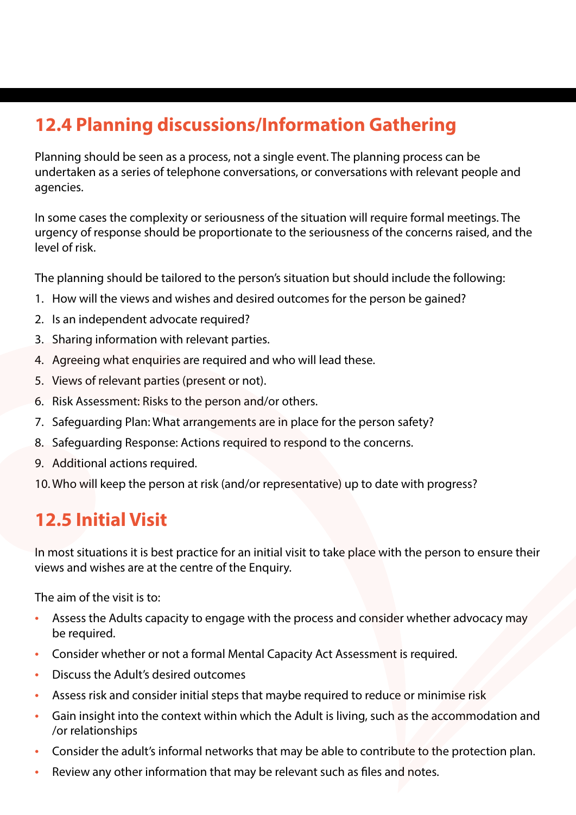# **12.4 Planning discussions/Information Gathering**

Planning should be seen as a process, not a single event. The planning process can be undertaken as a series of telephone conversations, or conversations with relevant people and agencies.

In some cases the complexity or seriousness of the situation will require formal meetings. The urgency of response should be proportionate to the seriousness of the concerns raised, and the level of risk.

The planning should be tailored to the person's situation but should include the following:

- 1. How will the views and wishes and desired outcomes for the person be gained?
- 2. Is an independent advocate required?
- 3. Sharing information with relevant parties.
- 4. Agreeing what enquiries are required and who will lead these.
- 5. Views of relevant parties (present or not).
- 6. Risk Assessment: Risks to the person and/or others.
- 7. Safeguarding Plan: What arrangements are in place for the person safety?
- 8. Safeguarding Response: Actions required to respond to the concerns.
- 9. Additional actions required.
- 10. Who will keep the person at risk (and/or representative) up to date with progress?

# **12.5 Initial Visit**

In most situations it is best practice for an initial visit to take place with the person to ensure their views and wishes are at the centre of the Enquiry.

The aim of the visit is to:

- Assess the Adults capacity to engage with the process and consider whether advocacy may be required.
- Consider whether or not a formal Mental Capacity Act Assessment is required.
- Discuss the Adult's desired outcomes
- Assess risk and consider initial steps that maybe required to reduce or minimise risk
- Gain insight into the context within which the Adult is living, such as the accommodation and /or relationships
- Consider the adult's informal networks that may be able to contribute to the protection plan.
- Review any other information that may be relevant such as files and notes.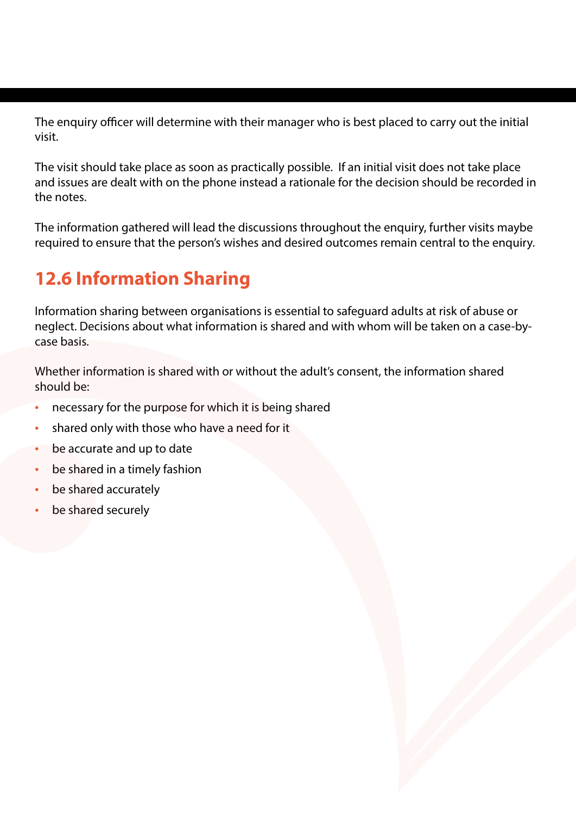The enquiry officer will determine with their manager who is best placed to carry out the initial visit.

The visit should take place as soon as practically possible. If an initial visit does not take place and issues are dealt with on the phone instead a rationale for the decision should be recorded in the notes.

The information gathered will lead the discussions throughout the enquiry, further visits maybe required to ensure that the person's wishes and desired outcomes remain central to the enquiry.

# **12.6 Information Sharing**

Information sharing between organisations is essential to safeguard adults at risk of abuse or neglect. Decisions about what information is shared and with whom will be taken on a case-bycase basis.

Whether information is shared with or without the adult's consent, the information shared should be:

- necessary for the purpose for which it is being shared
- shared only with those who have a need for it
- be accurate and up to date
- be shared in a timely fashion
- be shared accurately
- be shared securely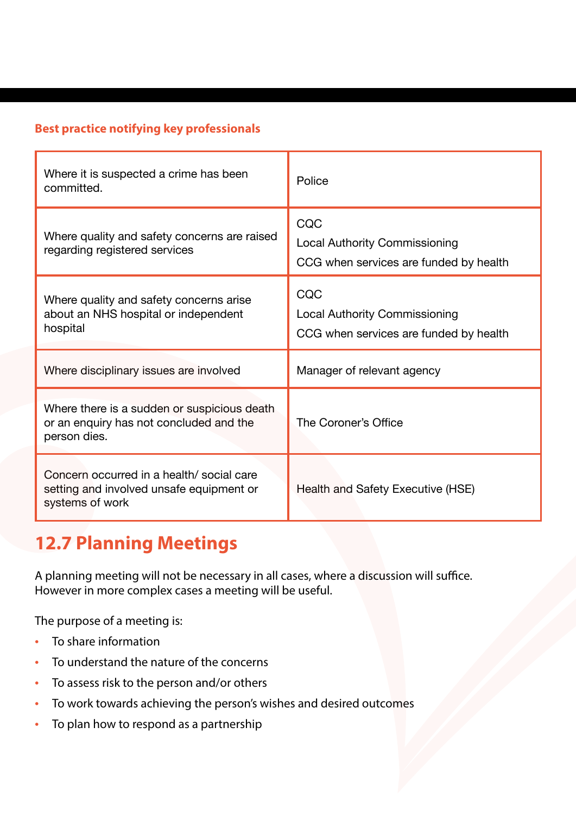#### **Best practice notifying key professionals**

| Where it is suspected a crime has been<br>committed.                                                     | Police                                                                                |
|----------------------------------------------------------------------------------------------------------|---------------------------------------------------------------------------------------|
| Where quality and safety concerns are raised<br>regarding registered services                            | CQC<br><b>Local Authority Commissioning</b><br>CCG when services are funded by health |
| Where quality and safety concerns arise<br>about an NHS hospital or independent<br>hospital              | CQC<br><b>Local Authority Commissioning</b><br>CCG when services are funded by health |
| Where disciplinary issues are involved                                                                   | Manager of relevant agency                                                            |
| Where there is a sudden or suspicious death<br>or an enquiry has not concluded and the<br>person dies.   | The Coroner's Office                                                                  |
| Concern occurred in a health/ social care<br>setting and involved unsafe equipment or<br>systems of work | Health and Safety Executive (HSE)                                                     |

## **12.7 Planning Meetings**

A planning meeting will not be necessary in all cases, where a discussion will suffice. However in more complex cases a meeting will be useful.

The purpose of a meeting is:

- To share information
- To understand the nature of the concerns
- To assess risk to the person and/or others
- To work towards achieving the person's wishes and desired outcomes
- To plan how to respond as a partnership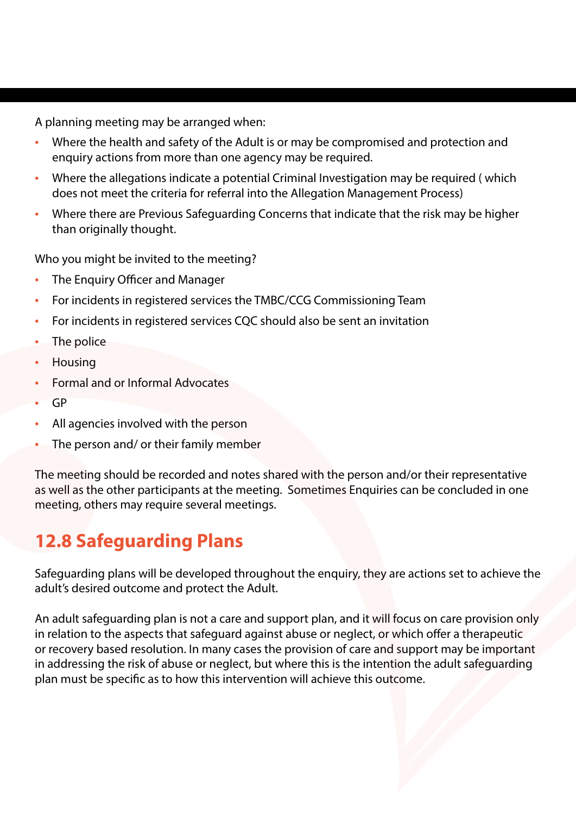A planning meeting may be arranged when:

- Where the health and safety of the Adult is or may be compromised and protection and enquiry actions from more than one agency may be required.
- Where the allegations indicate a potential Criminal Investigation may be required (which does not meet the criteria for referral into the Allegation Management Process)
- Where there are Previous Safeguarding Concerns that indicate that the risk may be higher than originally thought.

Who you might be invited to the meeting?

- The Enquiry Officer and Manager
- For incidents in registered services the TMBC/CCG Commissioning Team
- For incidents in registered services CQC should also be sent an invitation
- The police
- Housing
- Formal and or Informal Advocates
- GP
- All agencies involved with the person
- The person and/ or their family member

The meeting should be recorded and notes shared with the person and/or their representative as well as the other participants at the meeting. Sometimes Enquiries can be concluded in one meeting, others may require several meetings.

# **12.8 Safeguarding Plans**

Safeguarding plans will be developed throughout the enquiry, they are actions set to achieve the adult's desired outcome and protect the Adult.

An adult safeguarding plan is not a care and support plan, and it will focus on care provision only in relation to the aspects that safeguard against abuse or neglect, or which offer a therapeutic or recovery based resolution. In many cases the provision of care and support may be important in addressing the risk of abuse or neglect, but where this is the intention the adult safeguarding plan must be specific as to how this intervention will achieve this outcome.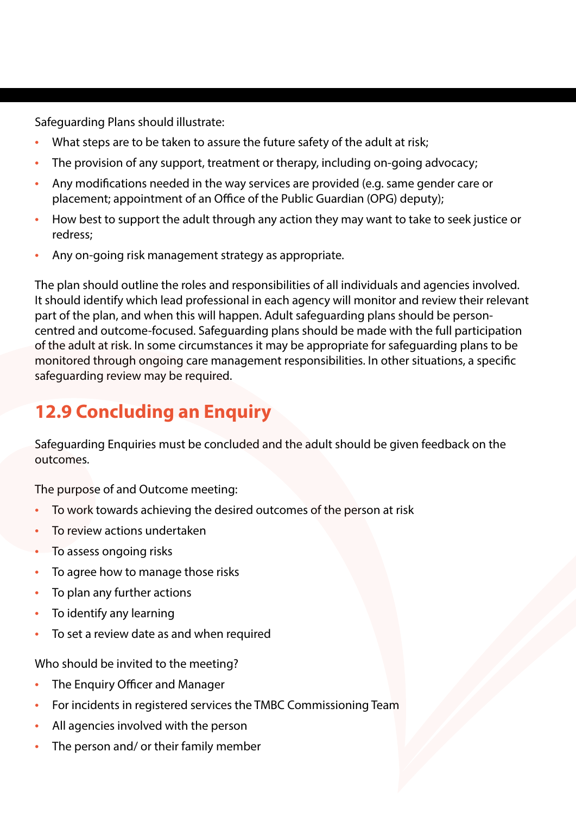Safeguarding Plans should illustrate:

- What steps are to be taken to assure the future safety of the adult at risk;
- The provision of any support, treatment or therapy, including on-going advocacy;
- Any modifications needed in the way services are provided (e.g. same gender care or placement; appointment of an Office of the Public Guardian (OPG) deputy);
- How best to support the adult through any action they may want to take to seek justice or redress;
- Any on-going risk management strategy as appropriate.

The plan should outline the roles and responsibilities of all individuals and agencies involved. It should identify which lead professional in each agency will monitor and review their relevant part of the plan, and when this will happen. Adult safeguarding plans should be personcentred and outcome-focused. Safeguarding plans should be made with the full participation of the adult at risk. In some circumstances it may be appropriate for safeguarding plans to be monitored through ongoing care management responsibilities. In other situations, a specific safeguarding review may be required.

### **12.9 Concluding an Enquiry**

Safeguarding Enquiries must be concluded and the adult should be given feedback on the outcomes.

The purpose of and Outcome meeting:

- To work towards achieving the desired outcomes of the person at risk
- To review actions undertaken
- To assess ongoing risks
- To agree how to manage those risks
- To plan any further actions
- To identify any learning
- To set a review date as and when required

Who should be invited to the meeting?

- The Enquiry Officer and Manager
- For incidents in registered services the TMBC Commissioning Team
- All agencies involved with the person
- The person and/ or their family member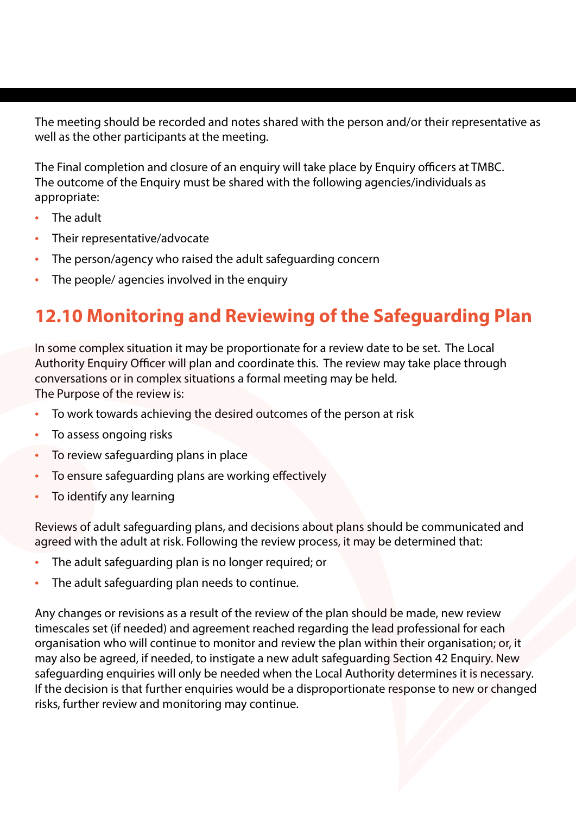The meeting should be recorded and notes shared with the person and/or their representative as well as the other participants at the meeting.

The Final completion and closure of an enquiry will take place by Enquiry officers at TMBC. The outcome of the Enquiry must be shared with the following agencies/individuals as appropriate:

- The adult
- Their representative/advocate
- The person/agency who raised the adult safeguarding concern
- The people/ agencies involved in the enquiry

# **12.10 Monitoring and Reviewing of the Safeguarding Plan**

In some complex situation it may be proportionate for a review date to be set. The Local Authority Enquiry Officer will plan and coordinate this. The review may take place through conversations or in complex situations a formal meeting may be held. The Purpose of the review is:

- To work towards achieving the desired outcomes of the person at risk
- To assess ongoing risks
- To review safeguarding plans in place
- To ensure safeguarding plans are working effectively
- To identify any learning

Reviews of adult safeguarding plans, and decisions about plans should be communicated and agreed with the adult at risk. Following the review process, it may be determined that:

- The adult safeguarding plan is no longer required; or
- The adult safeguarding plan needs to continue.

Any changes or revisions as a result of the review of the plan should be made, new review timescales set (if needed) and agreement reached regarding the lead professional for each organisation who will continue to monitor and review the plan within their organisation; or, it may also be agreed, if needed, to instigate a new adult safeguarding Section 42 Enquiry. New safeguarding enquiries will only be needed when the Local Authority determines it is necessary. If the decision is that further enquiries would be a disproportionate response to new or changed risks, further review and monitoring may continue.